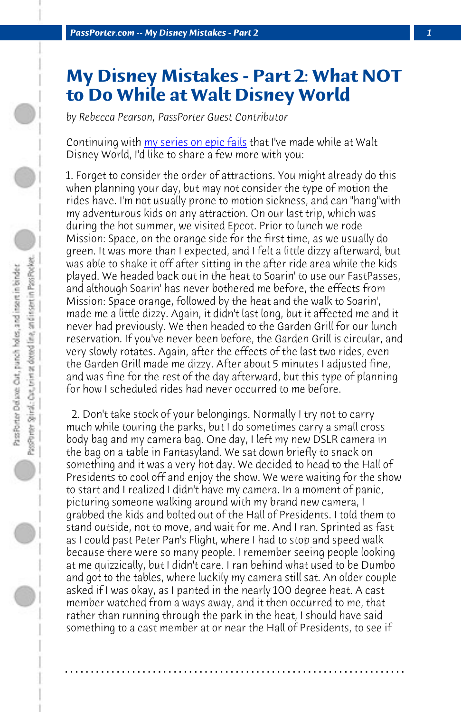*PassPorter.com -- My Disney Mistakes - Part 2 1*

## **My Disney Mistakes - Part 2: What NOT to Do While at Walt Disney World**

*by Rebecca Pearson, PassPorter Guest Contributor*

Continuing with my series on epic fails that I've made while at Walt Disney World, I'd like to share a few more with you:

1. Forget to consider the order of attractions. You might already do this when planning your day, but may not consider the type of motion the rides have. I'm not usually prone to motion sickness, and can "hang"with my adventurous kids on any attraction. On our last trip, which was during the hot summer, we visited Epcot. Prior to lunch we rode Mission: Space, on the orange side for the first time, as we usually do green. It was more than I expected, and I felt a little dizzy afterward, but was able to shake it off after sitting in the after ride area while the kids played. We headed back out in the heat to Soarin' to use our FastPasses, and although Soarin' has never bothered me before, the effects from Mission: Space orange, followed by the heat and the walk to Soarin', made me a little dizzy. Again, it didn't last long, but it affected me and it never had previously. We then headed to the Garden Grill for our lunch reservation. If you've never been before, the Garden Grill is circular, and very slowly rotates. Again, after the effects of the last two rides, even the Garden Grill made me dizzy. After about 5 minutes I adjusted fine, and was fine for the rest of the day afterward, but this type of planning for how I scheduled rides had never occurred to me before.

 2. Don't take stock of your belongings. Normally I try not to carry much while touring the parks, but I do sometimes carry a small cross body bag and my camera bag. One day, I left my new DSLR camera in the bag on a table in Fantasyland. We sat down briefly to snack on something and it was a very hot day. We decided to head to the Hall of Presidents to cool off and enjoy the show. We were waiting for the show to start and I realized I didn't have my camera. In a moment of panic, picturing someone walking around with my brand new camera, I grabbed the kids and bolted out of the Hall of Presidents. I told them to stand outside, not to move, and wait for me. And I ran. Sprinted as fast as I could past Peter Pan's Flight, where I had to stop and speed walk because there were so many people. I remember seeing people looking at me quizzically, but I didn't care. I ran behind what used to be Dumbo and got to the tables, where luckily my camera still sat. An older couple asked if I was okay, as I panted in the nearly 100 degree heat. A cast member watched from a ways away, and it then occurred to me, that rather than running through the park in the heat, I should have said something to a cast member at or near the Hall of Presidents, to see if

**. . . . . . . . . . . . . . . . . . . . . . . . . . . . . . . . . . . . . . . . . . . . . . . . . . . . . . . . . . . . . . . . . .**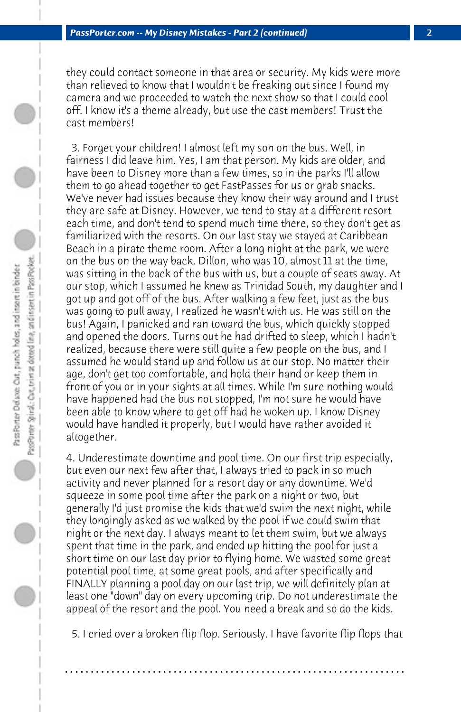they could contact someone in that area or security. My kids were more than relieved to know that I wouldn't be freaking out since I found my camera and we proceeded to watch the next show so that I could cool off. I know it's a theme already, but use the cast members! Trust the cast members!

 3. Forget your children! I almost left my son on the bus. Well, in fairness I did leave him. Yes, I am that person. My kids are older, and have been to Disney more than a few times, so in the parks I'll allow them to go ahead together to get FastPasses for us or grab snacks. We've never had issues because they know their way around and I trust they are safe at Disney. However, we tend to stay at a different resort each time, and don't tend to spend much time there, so they don't get as familiarized with the resorts. On our last stay we stayed at Caribbean Beach in a pirate theme room. After a long night at the park, we were on the bus on the way back. Dillon, who was 10, almost 11 at the time, was sitting in the back of the bus with us, but a couple of seats away. At our stop, which I assumed he knew as Trinidad South, my daughter and I got up and got off of the bus. After walking a few feet, just as the bus was going to pull away, I realized he wasn't with us. He was still on the bus! Again, I panicked and ran toward the bus, which quickly stopped and opened the doors. Turns out he had drifted to sleep, which I hadn't realized, because there were still quite a few people on the bus, and I assumed he would stand up and follow us at our stop. No matter their age, don't get too comfortable, and hold their hand or keep them in front of you or in your sights at all times. While I'm sure nothing would have happened had the bus not stopped, I'm not sure he would have been able to know where to get off had he woken up. I know Disney would have handled it properly, but I would have rather avoided it altogether.

PassPrieter Spinal: Cart, teiler at dotted line, and instert in Pass Pocket. PassPorter Delaxe: Out, panch holes, and insert in binder

4. Underestimate downtime and pool time. On our first trip especially, but even our next few after that, I always tried to pack in so much activity and never planned for a resort day or any downtime. We'd squeeze in some pool time after the park on a night or two, but generally I'd just promise the kids that we'd swim the next night, while they longingly asked as we walked by the pool if we could swim that night or the next day. I always meant to let them swim, but we always spent that time in the park, and ended up hitting the pool for just a short time on our last day prior to flying home. We wasted some great potential pool time, at some great pools, and after specifically and FINALLY planning a pool day on our last trip, we will definitely plan at least one "down" day on every upcoming trip. Do not underestimate the appeal of the resort and the pool. You need a break and so do the kids.

 5. I cried over a broken flip flop. Seriously. I have favorite flip flops that

**. . . . . . . . . . . . . . . . . . . . . . . . . . . . . . . . . . . . . . . . . . . . . . . . . . . . . . . . . . . . . . . . . .**